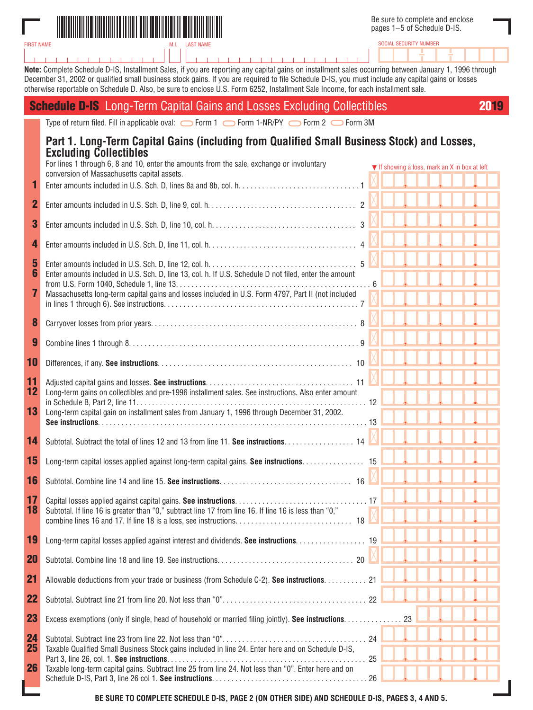

FIRST NAME

SOCIAL SECURITY NUMBER

**Note:** Complete Schedule D-IS, Installment Sales, if you are reporting any capital gains on installment sales occurring between January 1, 1996 through December 31, 2002 or qualified small business stock gains. If you are required to file Schedule D-IS, you must include any capital gains or losses otherwise reportable on Schedule D. Also, be sure to enclose U.S. Form 6252, Installment Sale Income, for each installment sale.

|                | <b>Schedule D-IS</b> Long-Term Capital Gains and Losses Excluding Collectibles                                                                                                                                                                                                                                            | 2019 |
|----------------|---------------------------------------------------------------------------------------------------------------------------------------------------------------------------------------------------------------------------------------------------------------------------------------------------------------------------|------|
|                | Type of return filed. Fill in applicable oval:<br>$\bigcirc$ Form 1 $\bigcirc$ Form 1-NR/PY $\bigcirc$ Form 2 $\bigcirc$ Form 3M                                                                                                                                                                                          |      |
| 1              | Part 1. Long-Term Capital Gains (including from Qualified Small Business Stock) and Losses,<br><b>Excluding Collectibles</b><br>For lines 1 through 6, 8 and 10, enter the amounts from the sale, exchange or involuntary<br>▼ If showing a loss, mark an X in box at left<br>conversion of Massachusetts capital assets. |      |
| $\mathbf 2$    |                                                                                                                                                                                                                                                                                                                           |      |
| 3              |                                                                                                                                                                                                                                                                                                                           |      |
| 4              |                                                                                                                                                                                                                                                                                                                           |      |
| 5<br>6<br>7    | Enter amounts included in U.S. Sch. D, line 13, col. h. If U.S. Schedule D not filed, enter the amount<br>Massachusetts long-term capital gains and losses included in U.S. Form 4797, Part II (not included                                                                                                              |      |
| 8              |                                                                                                                                                                                                                                                                                                                           |      |
| 9              |                                                                                                                                                                                                                                                                                                                           |      |
| 10             |                                                                                                                                                                                                                                                                                                                           |      |
| 11<br>12<br>13 | Long-term gains on collectibles and pre-1996 installment sales. See instructions. Also enter amount<br>Long-term capital gain on installment sales from January 1, 1996 through December 31, 2002.                                                                                                                        |      |
| 14             | Subtotal. Subtract the total of lines 12 and 13 from line 11. See instructions. 14                                                                                                                                                                                                                                        |      |
| 15             | Long-term capital losses applied against long-term capital gains. See instructions. 15                                                                                                                                                                                                                                    |      |
| 16             |                                                                                                                                                                                                                                                                                                                           |      |
| 17<br>18       | Subtotal. If line 16 is greater than "0," subtract line 17 from line 16. If line 16 is less than "0,"                                                                                                                                                                                                                     |      |
| 19             | Long-term capital losses applied against interest and dividends. See instructions. 19                                                                                                                                                                                                                                     |      |
| <b>20</b>      |                                                                                                                                                                                                                                                                                                                           |      |
| 21             | Allowable deductions from your trade or business (from Schedule C-2). See instructions. 21                                                                                                                                                                                                                                |      |
| 22             |                                                                                                                                                                                                                                                                                                                           |      |
| 23             | Excess exemptions (only if single, head of household or married filing jointly). See instructions. 23                                                                                                                                                                                                                     |      |
| 24<br>25<br>26 | Taxable Qualified Small Business Stock gains included in line 24. Enter here and on Schedule D-IS.<br>Taxable long-term capital gains. Subtract line 25 from line 24. Not less than "0". Enter here and on                                                                                                                |      |

**BE SURE TO COMPLETE SCHEDULE D-IS, PAGE 2 (ON OTHER SIDE) AND SCHEDULE D-IS, PAGES 3, 4 AND 5.**

Schedule D-IS, Part 3, line 26 col 1. **See instructions**. . . . . . . . . . . . . . . . . . . . . . . . . . . . . . . . . . . . . . . . 26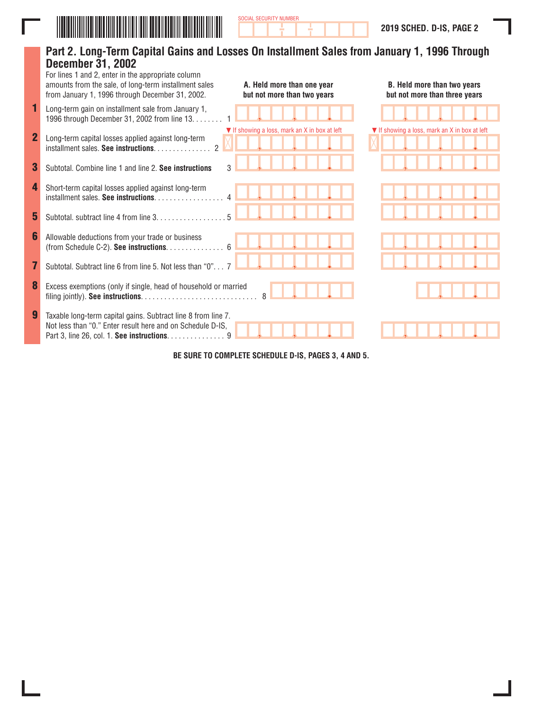

Ī

|                | Part 2. Long-Term Capital Gains and Losses On Installment Sales from January 1, 1996 Through<br><b>December 31, 2002</b><br>For lines 1 and 2, enter in the appropriate column<br>amounts from the sale, of long-term installment sales<br>A. Held more than one year<br>from January 1, 1996 through December 31, 2002.<br>but not more than two years | B. Held more than two years<br>but not more than three years |
|----------------|---------------------------------------------------------------------------------------------------------------------------------------------------------------------------------------------------------------------------------------------------------------------------------------------------------------------------------------------------------|--------------------------------------------------------------|
| 1              | Long-term gain on installment sale from January 1,<br>1996 through December 31, 2002 from line 13.                                                                                                                                                                                                                                                      |                                                              |
| $\overline{2}$ | ▼ If showing a loss, mark an X in box at left<br>Long-term capital losses applied against long-term<br>$\mathcal{P}$<br>installment sales. See instructions.                                                                                                                                                                                            | ▼ If showing a loss, mark an X in box at left                |
| 3              | Subtotal, Combine line 1 and line 2. See instructions<br>3                                                                                                                                                                                                                                                                                              |                                                              |
| 4              | Short-term capital losses applied against long-term<br>installment sales. See instructions.                                                                                                                                                                                                                                                             |                                                              |
| 5              | Subtotal. subtract line 4 from line 3.                                                                                                                                                                                                                                                                                                                  |                                                              |
| 6              | Allowable deductions from your trade or business<br>(from Schedule C-2). See instructions. $\ldots \ldots \ldots \ldots$ 6                                                                                                                                                                                                                              |                                                              |
|                | Subtotal. Subtract line 6 from line 5. Not less than "0"                                                                                                                                                                                                                                                                                                |                                                              |
| 8              | Excess exemptions (only if single, head of household or married                                                                                                                                                                                                                                                                                         |                                                              |
| 9              | Taxable long-term capital gains. Subtract line 8 from line 7.<br>Not less than "0." Enter result here and on Schedule D-IS,<br>Part 3, line 26, col. 1. See instructions. 9                                                                                                                                                                             |                                                              |
|                |                                                                                                                                                                                                                                                                                                                                                         |                                                              |

SOCIAL SECURITY NUMBER

**BE SURE TO COMPLETE SCHEDULE D-IS, PAGES 3, 4 AND 5.**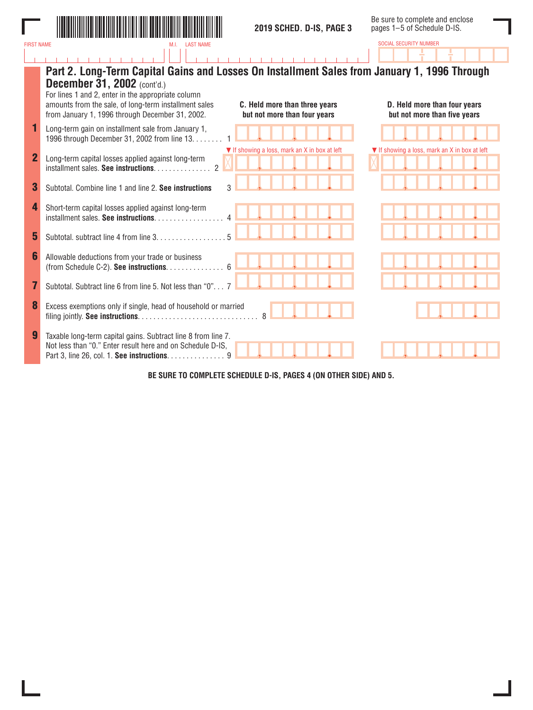

SOCIAL SECURITY NUMBER

|                | Part 2. Long-Term Capital Gains and Losses On Installment Sales from January 1, 1996 Through<br><b>December 31, 2002</b> (cont'd.)<br>For lines 1 and 2, enter in the appropriate column<br>amounts from the sale, of long-term installment sales<br>C. Held more than three years<br>from January 1, 1996 through December 31, 2002.<br>but not more than four years | D. Held more than four years<br>but not more than five years |
|----------------|-----------------------------------------------------------------------------------------------------------------------------------------------------------------------------------------------------------------------------------------------------------------------------------------------------------------------------------------------------------------------|--------------------------------------------------------------|
|                | Long-term gain on installment sale from January 1,<br>1996 through December 31, 2002 from line 13.                                                                                                                                                                                                                                                                    |                                                              |
| $\overline{2}$ | ▼ If showing a loss, mark an X in box at left<br>Long-term capital losses applied against long-term<br>$\mathcal{P}$<br>installment sales. See instructions.                                                                                                                                                                                                          | ▼ If showing a loss, mark an X in box at left                |
| 3              | Subtotal. Combine line 1 and line 2. See instructions                                                                                                                                                                                                                                                                                                                 |                                                              |
| 4              | Short-term capital losses applied against long-term<br>installment sales. See instructions                                                                                                                                                                                                                                                                            |                                                              |
| 5              | Subtotal, subtract line 4 from line 3.                                                                                                                                                                                                                                                                                                                                |                                                              |
| 6              | Allowable deductions from your trade or business<br>(from Schedule C-2). See instructions. 6                                                                                                                                                                                                                                                                          |                                                              |
|                | Subtotal. Subtract line 6 from line 5. Not less than "0" 7                                                                                                                                                                                                                                                                                                            |                                                              |
| 8              | Excess exemptions only if single, head of household or married<br>$\mathsf{R}$                                                                                                                                                                                                                                                                                        |                                                              |
| 9              | Taxable long-term capital gains. Subtract line 8 from line 7.<br>Not less than "0." Enter result here and on Schedule D-IS,<br>Part 3, line 26, col. 1. See instructions. 9                                                                                                                                                                                           |                                                              |

**BE SURE TO COMPLETE SCHEDULE D-IS, PAGES 4 (ON OTHER SIDE) AND 5.**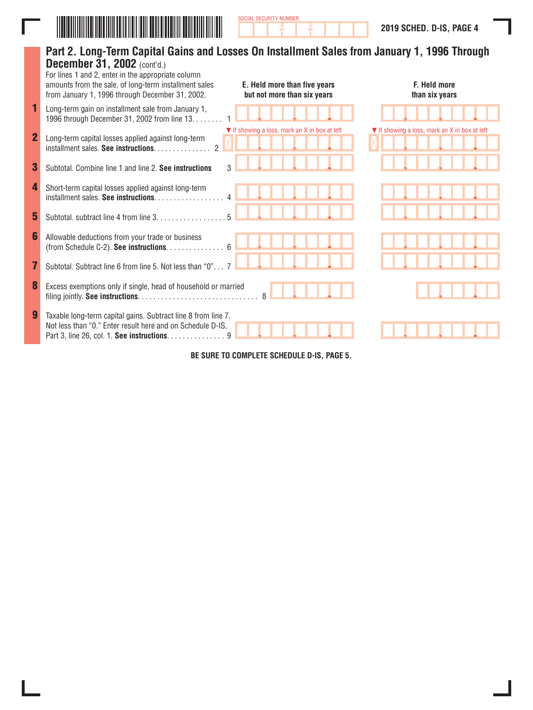

|             | Part 2. Long-Term Capital Gains and Losses On Installment Sales from January 1, 1996 Through<br>December 31, 2002 (cont'd.)<br>For lines 1 and 2, enter in the appropriate column<br>amounts from the sale, of long-term installment sales<br>from January 1, 1996 through December 31, 2002. | E. Held more than five years<br>but not more than six years | F. Held more<br>than six years                |
|-------------|-----------------------------------------------------------------------------------------------------------------------------------------------------------------------------------------------------------------------------------------------------------------------------------------------|-------------------------------------------------------------|-----------------------------------------------|
| 1           | Long-term gain on installment sale from January 1,<br>1996 through December 31, 2002 from line 13.                                                                                                                                                                                            |                                                             |                                               |
| $\mathbf 2$ | Long-term capital losses applied against long-term<br>$\mathcal{P}$<br>installment sales. See instructions.                                                                                                                                                                                   | ▼ If showing a loss, mark an X in box at left               | ▼ If showing a loss, mark an X in box at left |
| 3           | Subtotal, Combine line 1 and line 2. See instructions                                                                                                                                                                                                                                         |                                                             |                                               |
| 4           | Short-term capital losses applied against long-term<br>installment sales. See instructions                                                                                                                                                                                                    |                                                             |                                               |
| 5           | Subtotal. subtract line 4 from line 3.                                                                                                                                                                                                                                                        |                                                             |                                               |
| 6           | Allowable deductions from your trade or business<br>(from Schedule C-2). See instructions. 6                                                                                                                                                                                                  |                                                             |                                               |
| 7           | Subtotal. Subtract line 6 from line 5. Not less than "0"                                                                                                                                                                                                                                      |                                                             |                                               |
| 8           | Excess exemptions only if single, head of household or married                                                                                                                                                                                                                                |                                                             |                                               |
| 9           | Taxable long-term capital gains. Subtract line 8 from line 7.<br>Not less than "0." Enter result here and on Schedule D-IS,<br>Part 3, line 26, col. 1. See instructions. 9                                                                                                                   |                                                             |                                               |

SOCIAL SECURITY NUMBER

**BE SURE TO COMPLETE SCHEDULE D-IS, PAGE 5.**